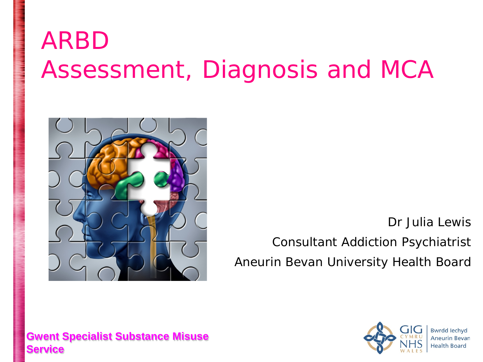### ARBD Assessment, Diagnosis and MCA



Dr Julia Lewis

Consultant Addiction Psychiatrist Aneurin Bevan University Health Board

#### **Gwent Specialist Substance Misuse Service**

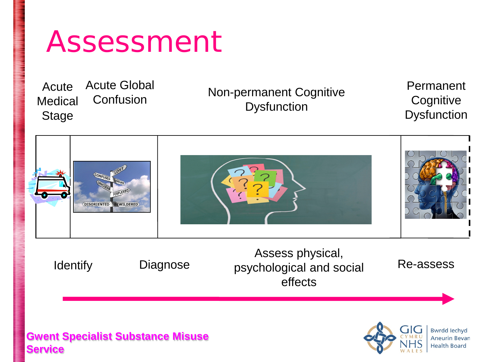### Assessment

Acute **Medical** Stage Acute Global

Confusion Non-permanent Cognitive **Dysfunction** 

Permanent **Cognitive Dysfunction** 



Identify Diagnose

Assess physical, psychological and social effects

Re-assess

#### **Gwent Specialist Substance Misuse Service**

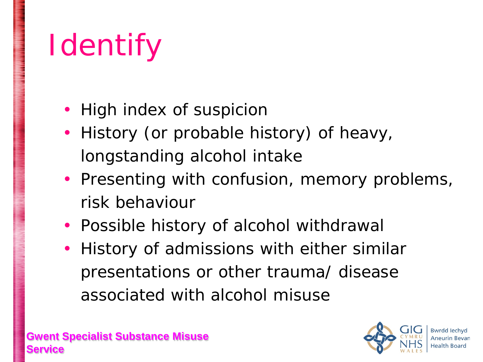# **I**dentify

- High index of suspicion
- History (or probable history) of heavy, longstanding alcohol intake
- Presenting with confusion, memory problems, risk behaviour
- Possible history of alcohol withdrawal
- History of admissions with either similar presentations or other trauma/ disease associated with alcohol misuse

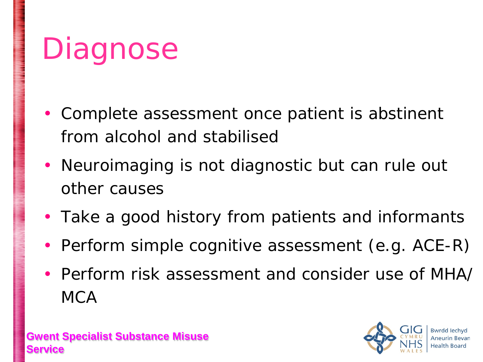### **Diagnose**

- Complete assessment once patient is abstinent from alcohol and stabilised
- Neuroimaging is not diagnostic but can rule out other causes
- Take a good history from patients and informants
- Perform simple cognitive assessment (e.g. ACE-R)
- Perform risk assessment and consider use of MHA/ **MCA**

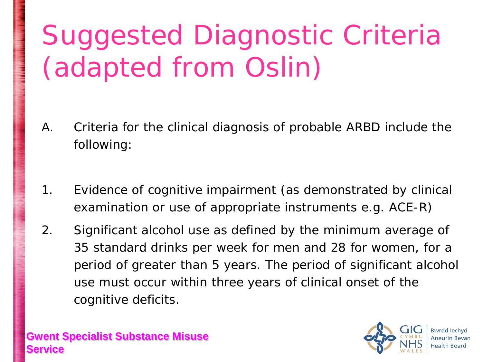### Suggested Diagnostic Criteria (adapted from Oslin)

- A. Criteria for the clinical diagnosis of probable ARBD include the following:
- 1. Evidence of cognitive impairment (as demonstrated by clinical examination or use of appropriate instruments e.g. ACE-R)
- 2. Significant alcohol use as defined by the minimum average of 35 standard drinks per week for men and 28 for women, for a period of greater than 5 years. The period of significant alcohol use must occur within three years of clinical onset of the cognitive deficits.

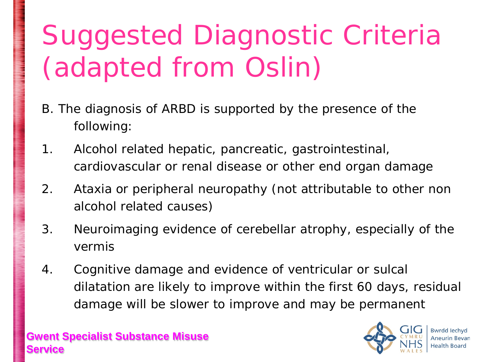### Suggested Diagnostic Criteria (adapted from Oslin)

- B. The diagnosis of ARBD is supported by the presence of the following:
- 1. Alcohol related hepatic, pancreatic, gastrointestinal, cardiovascular or renal disease or other end organ damage
- 2. Ataxia or peripheral neuropathy (not attributable to other non alcohol related causes)
- 3. Neuroimaging evidence of cerebellar atrophy, especially of the vermis
- 4. Cognitive damage and evidence of ventricular or sulcal dilatation are likely to improve within the first 60 days, residual damage will be slower to improve and may be permanent

**Gwent Specialist Substance Misuse Servi** 



Bwrdd Iechyd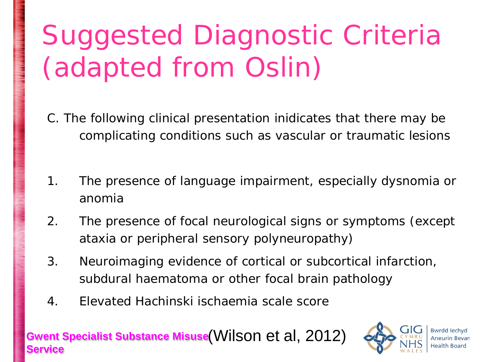### Suggested Diagnostic Criteria (adapted from Oslin)

- C. The following clinical presentation inidicates that there may be complicating conditions such as vascular or traumatic lesions
- 1. The presence of language impairment, especially dysnomia or anomia
- 2. The presence of focal neurological signs or symptoms (except ataxia or peripheral sensory polyneuropathy)
- 3. Neuroimaging evidence of cortical or subcortical infarction, subdural haematoma or other focal brain pathology
- 4. Elevated Hachinski ischaemia scale score

#### **Gwent Specialist Substance Misuse**  (Wilson et al, 2012) **Service**

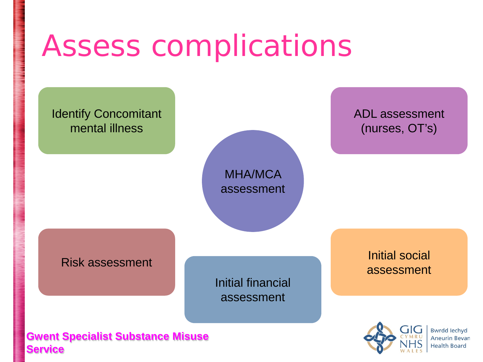### Assess complications

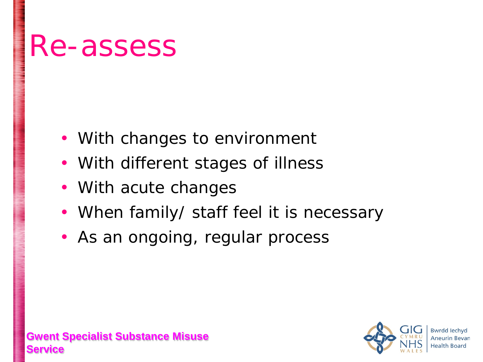### Re-assess

- With changes to environment
- With different stages of illness
- With acute changes
- When family/ staff feel it is necessary
- As an ongoing, regular process

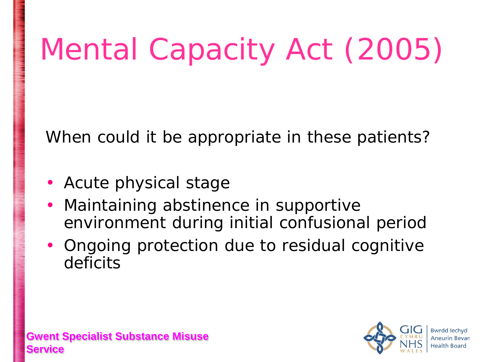# Mental Capacity Act (2005)

When could it be appropriate in these patients?

- Acute physical stage
- Maintaining abstinence in supportive environment during initial confusional period
- Ongoing protection due to residual cognitive deficits

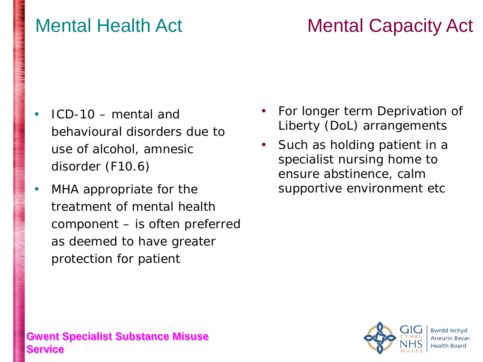#### **Gwent Specialist Substance Misuse Service**

# Mental Health Act Mental Capacity Act

- ICD-10 mental and behavioural disorders due to use of alcohol, amnesic disorder (F10.6)
- MHA appropriate for the treatment of mental health component – is often preferred as deemed to have greater protection for patient
- For longer term Deprivation of Liberty (DoL) arrangements
- Such as holding patient in a specialist nursing home to ensure abstinence, calm supportive environment etc

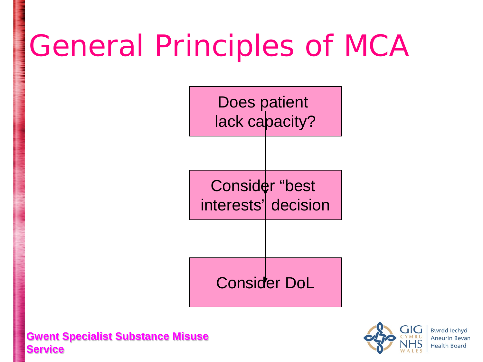## General Principles of MCA

Does patient lack capacity?

Consider "best interests' decision

Consider DoL



**Bwrdd lechvd Aneurin Bevan Health Board**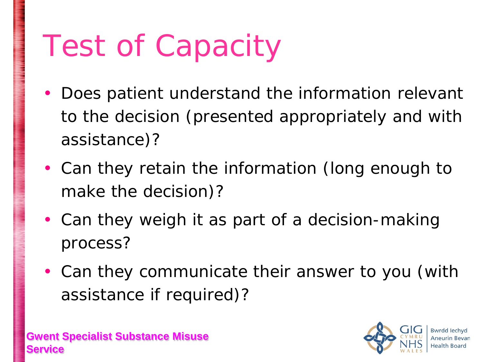## Test of Capacity

- Does patient understand the information relevant to the decision (presented appropriately and with assistance)?
- Can they retain the information (long enough to make the decision)?
- Can they weigh it as part of a decision-making process?
- Can they communicate their answer to you (with assistance if required)?

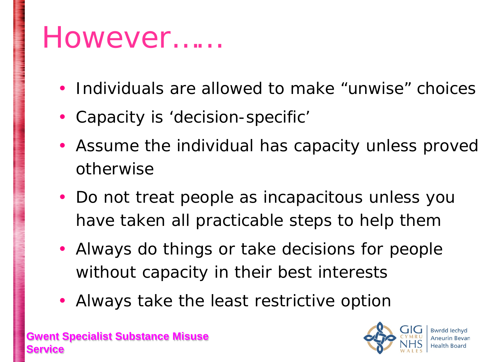### However……

- Individuals are allowed to make "unwise" choices
- Capacity is 'decision-specific'
- Assume the individual has capacity unless proved otherwise
- Do not treat people as incapacitous unless you have taken all practicable steps to help them
- Always do things or take decisions for people without capacity in their best interests
- Always take the least restrictive option

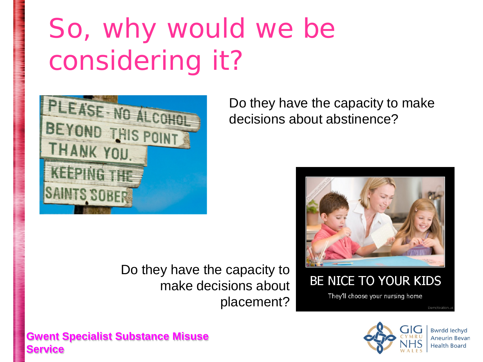### So, why would we be considering it?



Do they have the capacity to make decisions about placement?

Do they have the capacity to make decisions about abstinence?



BE NICE TO YOUR KIDS

They'll choose your nursing home

**Demotivation** 





**Bwrdd lechvd Aneurin Bevan Health Board**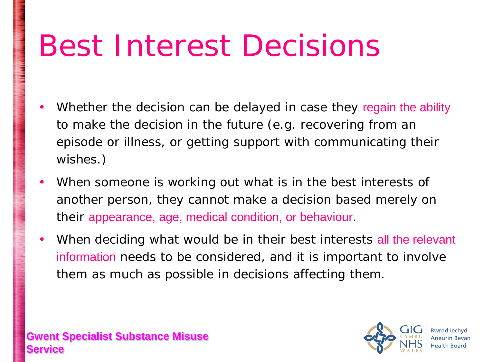### Best Interest Decisions

- Whether the decision can be delayed in case they regain the ability to make the decision in the future (e.g. recovering from an episode or illness, or getting support with communicating their wishes.)
- When someone is working out what is in the best interests of another person, they cannot make a decision based merely on their appearance, age, medical condition, or behaviour.
- When deciding what would be in their best interests all the relevant information needs to be considered, and it is important to involve them as much as possible in decisions affecting them.

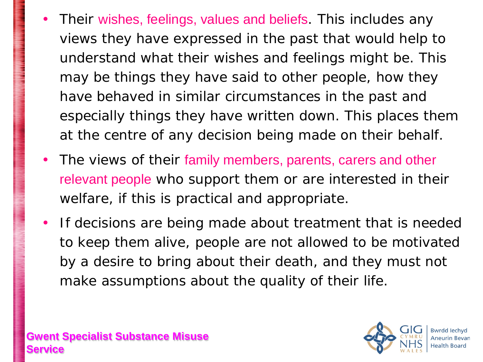- Their wishes, feelings, values and beliefs. This includes any views they have expressed in the past that would help to understand what their wishes and feelings might be. This may be things they have said to other people, how they have behaved in similar circumstances in the past and especially things they have written down. This places them at the centre of any decision being made on their behalf.
- The views of their family members, parents, carers and other relevant people who support them or are interested in their welfare, if this is practical and appropriate.
- If decisions are being made about treatment that is needed to keep them alive, people are not allowed to be motivated by a desire to bring about their death, and they must not make assumptions about the quality of their life.

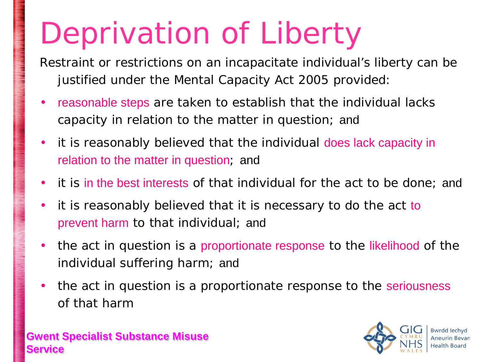# Deprivation of Liberty

Restraint or restrictions on an incapacitate individual's liberty can be justified under the Mental Capacity Act 2005 provided:

- reasonable steps are taken to establish that the individual lacks capacity in relation to the matter in question; and
- it is reasonably believed that the individual does lack capacity in relation to the matter in question; and
- it is in the best interests of that individual for the act to be done; and
- it is reasonably believed that it is necessary to do the act to prevent harm to that individual; and
- the act in question is a proportionate response to the likelihood of the individual suffering harm; and
- the act in question is a proportionate response to the seriousness of that harm



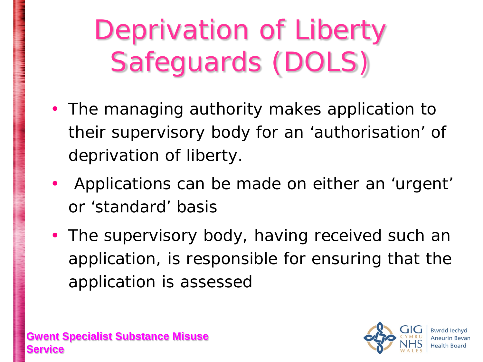Deprivation of Liberty Safeguards (DOLS)

- The managing authority makes application to their supervisory body for an 'authorisation' of deprivation of liberty.
- Applications can be made on either an 'urgent' or 'standard' basis
- The supervisory body, having received such an application, is responsible for ensuring that the application is assessed

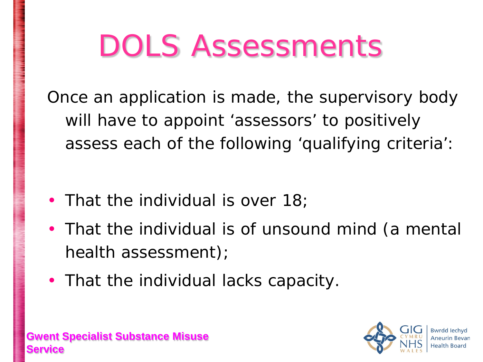## DOLS Assessments

Once an application is made, the supervisory body will have to appoint 'assessors' to positively assess each of the following 'qualifying criteria':

- That the individual is over 18;
- That the individual is of unsound mind (a mental health assessment);
- That the individual lacks capacity.



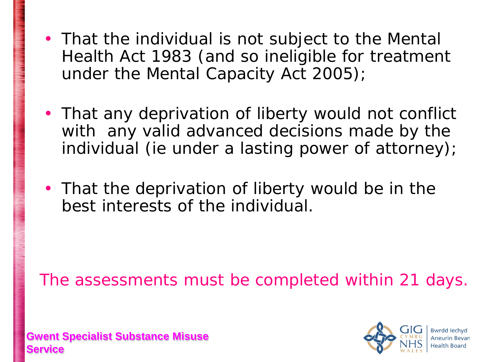- That the individual is not subject to the Mental Health Act 1983 (and so ineligible for treatment under the Mental Capacity Act 2005);
- That any deprivation of liberty would not conflict with any valid advanced decisions made by the individual (ie under a lasting power of attorney);
- That the deprivation of liberty would be in the best interests of the individual.

The assessments must be completed within 21 days.



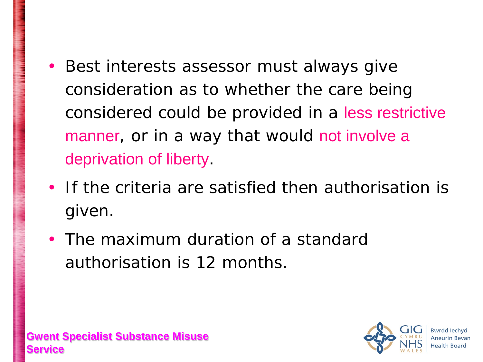- Best interests assessor must always give consideration as to whether the care being considered could be provided in a less restrictive manner, or in a way that would not involve a deprivation of liberty.
- If the criteria are satisfied then authorisation is given.
- The maximum duration of a standard authorisation is 12 months.

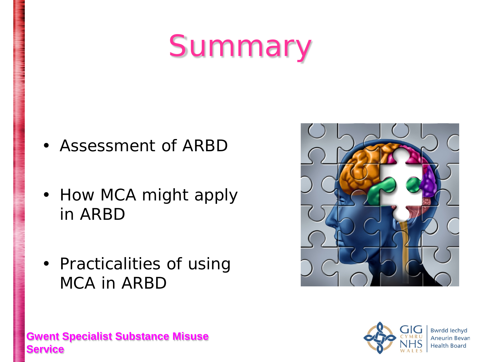## Summary

- Assessment of ARBD
- How MCA might apply in ARBD
- Practicalities of using MCA in ARBD





**Bwrdd lechvd Aneurin Bevan Health Board** 

#### **Gwent Specialist Substance Misuse Service**